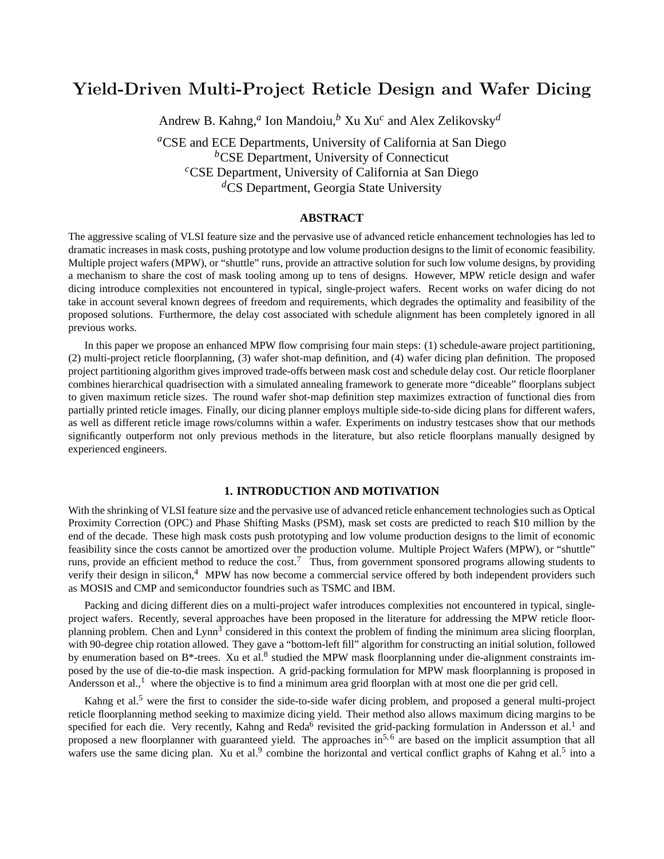# Yield-Driven Multi-Project Reticle Design and Wafer Dicing

Andrew B. Kahng,*<sup>a</sup>* Ion Mandoiu,*<sup>b</sup>* Xu Xu*<sup>c</sup>* and Alex Zelikovsky*<sup>d</sup>*

*<sup>a</sup>*CSE and ECE Departments, University of California at San Diego *<sup>b</sup>*CSE Department, University of Connecticut *<sup>c</sup>*CSE Department, University of California at San Diego *<sup>d</sup>*CS Department, Georgia State University

## **ABSTRACT**

The aggressive scaling of VLSI feature size and the pervasive use of advanced reticle enhancement technologies has led to dramatic increases in mask costs, pushing prototype and low volume production designs to the limit of economic feasibility. Multiple project wafers (MPW), or "shuttle" runs, provide an attractive solution for such low volume designs, by providing a mechanism to share the cost of mask tooling among up to tens of designs. However, MPW reticle design and wafer dicing introduce complexities not encountered in typical, single-project wafers. Recent works on wafer dicing do not take in account several known degrees of freedom and requirements, which degrades the optimality and feasibility of the proposed solutions. Furthermore, the delay cost associated with schedule alignment has been completely ignored in all previous works.

In this paper we propose an enhanced MPW flow comprising four main steps: (1) schedule-aware project partitioning, (2) multi-project reticle floorplanning, (3) wafer shot-map definition, and (4) wafer dicing plan definition. The proposed project partitioning algorithm gives improved trade-offs between mask cost and schedule delay cost. Our reticle floorplaner combines hierarchical quadrisection with a simulated annealing framework to generate more "diceable" floorplans subject to given maximum reticle sizes. The round wafer shot-map definition step maximizes extraction of functional dies from partially printed reticle images. Finally, our dicing planner employs multiple side-to-side dicing plans for different wafers, as well as different reticle image rows/columns within a wafer. Experiments on industry testcases show that our methods significantly outperform not only previous methods in the literature, but also reticle floorplans manually designed by experienced engineers.

#### **1. INTRODUCTION AND MOTIVATION**

With the shrinking of VLSI feature size and the pervasive use of advanced reticle enhancement technologies such as Optical Proximity Correction (OPC) and Phase Shifting Masks (PSM), mask set costs are predicted to reach \$10 million by the end of the decade. These high mask costs push prototyping and low volume production designs to the limit of economic feasibility since the costs cannot be amortized over the production volume. Multiple Project Wafers (MPW), or "shuttle" runs, provide an efficient method to reduce the cost.<sup>7</sup> Thus, from government sponsored programs allowing students to verify their design in silicon, $4$  MPW has now become a commercial service offered by both independent providers such as MOSIS and CMP and semiconductor foundries such as TSMC and IBM.

Packing and dicing different dies on a multi-project wafer introduces complexities not encountered in typical, singleproject wafers. Recently, several approaches have been proposed in the literature for addressing the MPW reticle floorplanning problem. Chen and Lynn<sup>3</sup> considered in this context the problem of finding the minimum area slicing floorplan, with 90-degree chip rotation allowed. They gave a "bottom-left fill" algorithm for constructing an initial solution, followed by enumeration based on B<sup>\*</sup>-trees. Xu et al.<sup>8</sup> studied the MPW mask floorplanning under die-alignment constraints imposed by the use of die-to-die mask inspection. A grid-packing formulation for MPW mask floorplanning is proposed in Andersson et al., where the objective is to find a minimum area grid floorplan with at most one die per grid cell.

Kahng et al.<sup>5</sup> were the first to consider the side-to-side wafer dicing problem, and proposed a general multi-project reticle floorplanning method seeking to maximize dicing yield. Their method also allows maximum dicing margins to be specified for each die. Very recently, Kahng and Reda<sup>6</sup> revisited the grid-packing formulation in Andersson et al.<sup>1</sup> and proposed a new floorplanner with guaranteed yield. The approaches in<sup>5, 6</sup> are based on the implicit assumption that all wafers use the same dicing plan. Xu et al.<sup>9</sup> combine the horizontal and vertical conflict graphs of Kahng et al.<sup>5</sup> into a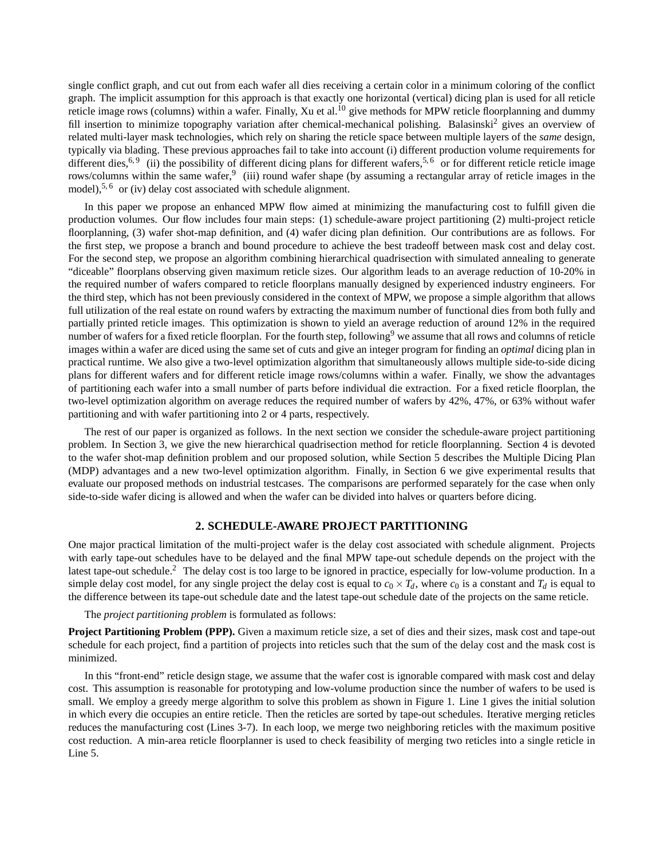single conflict graph, and cut out from each wafer all dies receiving a certain color in a minimum coloring of the conflict graph. The implicit assumption for this approach is that exactly one horizontal (vertical) dicing plan is used for all reticle reticle image rows (columns) within a wafer. Finally, Xu et al.<sup>10</sup> give methods for MPW reticle floorplanning and dummy fill insertion to minimize topography variation after chemical-mechanical polishing. Balasinski<sup>2</sup> gives an overview of related multi-layer mask technologies, which rely on sharing the reticle space between multiple layers of the *same* design, typically via blading. These previous approaches fail to take into account (i) different production volume requirements for different dies,<sup>6, 9</sup> (ii) the possibility of different dicing plans for different wafers,<sup>5, 6</sup> or for different reticle reticle image rows/columns within the same wafer,<sup>9</sup> (iii) round wafer shape (by assuming a rectangular array of reticle images in the model),<sup>5, 6</sup> or (iv) delay cost associated with schedule alignment.

In this paper we propose an enhanced MPW flow aimed at minimizing the manufacturing cost to fulfill given die production volumes. Our flow includes four main steps: (1) schedule-aware project partitioning (2) multi-project reticle floorplanning, (3) wafer shot-map definition, and (4) wafer dicing plan definition. Our contributions are as follows. For the first step, we propose a branch and bound procedure to achieve the best tradeoff between mask cost and delay cost. For the second step, we propose an algorithm combining hierarchical quadrisection with simulated annealing to generate "diceable" floorplans observing given maximum reticle sizes. Our algorithm leads to an average reduction of 10-20% in the required number of wafers compared to reticle floorplans manually designed by experienced industry engineers. For the third step, which has not been previously considered in the context of MPW, we propose a simple algorithm that allows full utilization of the real estate on round wafers by extracting the maximum number of functional dies from both fully and partially printed reticle images. This optimization is shown to yield an average reduction of around 12% in the required number of wafers for a fixed reticle floorplan. For the fourth step, following<sup>9</sup> we assume that all rows and columns of reticle images within a wafer are diced using the same set of cuts and give an integer program for finding an *optimal* dicing plan in practical runtime. We also give a two-level optimization algorithm that simultaneously allows multiple side-to-side dicing plans for different wafers and for different reticle image rows/columns within a wafer. Finally, we show the advantages of partitioning each wafer into a small number of parts before individual die extraction. For a fixed reticle floorplan, the two-level optimization algorithm on average reduces the required number of wafers by 42%, 47%, or 63% without wafer partitioning and with wafer partitioning into 2 or 4 parts, respectively.

The rest of our paper is organized as follows. In the next section we consider the schedule-aware project partitioning problem. In Section 3, we give the new hierarchical quadrisection method for reticle floorplanning. Section 4 is devoted to the wafer shot-map definition problem and our proposed solution, while Section 5 describes the Multiple Dicing Plan (MDP) advantages and a new two-level optimization algorithm. Finally, in Section 6 we give experimental results that evaluate our proposed methods on industrial testcases. The comparisons are performed separately for the case when only side-to-side wafer dicing is allowed and when the wafer can be divided into halves or quarters before dicing.

#### **2. SCHEDULE-AWARE PROJECT PARTITIONING**

One major practical limitation of the multi-project wafer is the delay cost associated with schedule alignment. Projects with early tape-out schedules have to be delayed and the final MPW tape-out schedule depends on the project with the latest tape-out schedule.<sup>2</sup> The delay cost is too large to be ignored in practice, especially for low-volume production. In a simple delay cost model, for any single project the delay cost is equal to  $c_0 \times T_d$ , where  $c_0$  is a constant and  $T_d$  is equal to the difference between its tape-out schedule date and the latest tape-out schedule date of the projects on the same reticle.

The *project partitioning problem* is formulated as follows:

**Project Partitioning Problem (PPP).** Given a maximum reticle size, a set of dies and their sizes, mask cost and tape-out schedule for each project, find a partition of projects into reticles such that the sum of the delay cost and the mask cost is minimized.

In this "front-end" reticle design stage, we assume that the wafer cost is ignorable compared with mask cost and delay cost. This assumption is reasonable for prototyping and low-volume production since the number of wafers to be used is small. We employ a greedy merge algorithm to solve this problem as shown in Figure 1. Line 1 gives the initial solution in which every die occupies an entire reticle. Then the reticles are sorted by tape-out schedules. Iterative merging reticles reduces the manufacturing cost (Lines 3-7). In each loop, we merge two neighboring reticles with the maximum positive cost reduction. A min-area reticle floorplanner is used to check feasibility of merging two reticles into a single reticle in Line 5.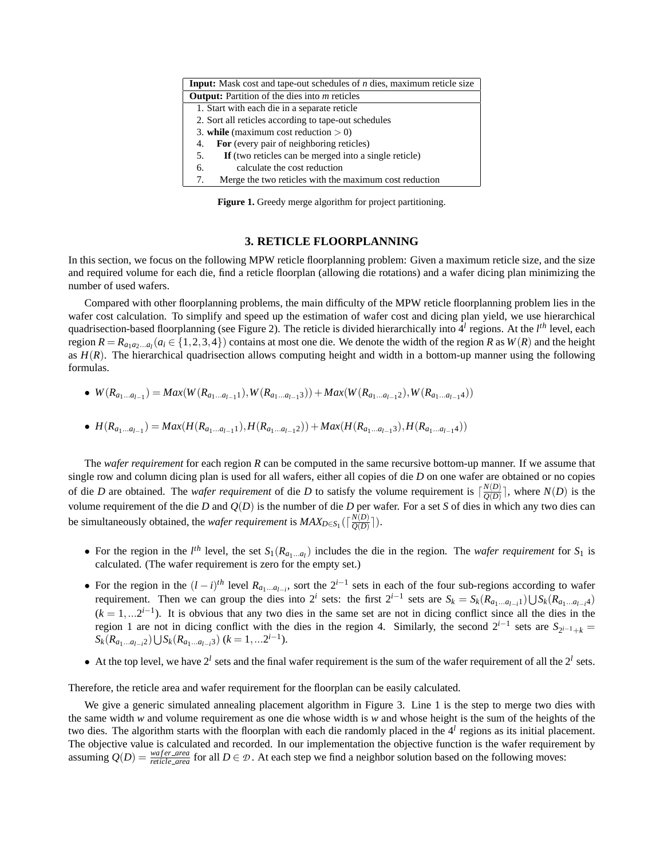| <b>Input:</b> Mask cost and tape-out schedules of $n$ dies, maximum reticle size |  |  |  |  |  |  |  |
|----------------------------------------------------------------------------------|--|--|--|--|--|--|--|
| <b>Output:</b> Partition of the dies into $m$ reticles                           |  |  |  |  |  |  |  |
| 1. Start with each die in a separate reticle                                     |  |  |  |  |  |  |  |
| 2. Sort all reticles according to tape-out schedules                             |  |  |  |  |  |  |  |
| 3. while (maximum cost reduction $> 0$ )                                         |  |  |  |  |  |  |  |
| For (every pair of neighboring reticles)<br>4.                                   |  |  |  |  |  |  |  |
| If (two reticles can be merged into a single reticle)<br>5.                      |  |  |  |  |  |  |  |
| calculate the cost reduction<br>6.                                               |  |  |  |  |  |  |  |
| Merge the two reticles with the maximum cost reduction<br>7.                     |  |  |  |  |  |  |  |

Figure 1. Greedy merge algorithm for project partitioning.

## **3. RETICLE FLOORPLANNING**

In this section, we focus on the following MPW reticle floorplanning problem: Given a maximum reticle size, and the size and required volume for each die, find a reticle floorplan (allowing die rotations) and a wafer dicing plan minimizing the number of used wafers.

Compared with other floorplanning problems, the main difficulty of the MPW reticle floorplanning problem lies in the wafer cost calculation. To simplify and speed up the estimation of wafer cost and dicing plan yield, we use hierarchical quadrisection-based floorplanning (see Figure 2). The reticle is divided hierarchically into 4*<sup>l</sup>* regions. At the *l th* level, each region  $R = R_{a_1a_2...a_l}(a_i \in \{1,2,3,4\})$  contains at most one die. We denote the width of the region *R* as  $W(R)$  and the height as  $H(R)$ . The hierarchical quadrisection allows computing height and width in a bottom-up manner using the following formulas.

• 
$$
W(R_{a_1...a_{l-1}}) = Max(W(R_{a_1...a_{l-1}1}), W(R_{a_1...a_{l-1}3})) + Max(W(R_{a_1...a_{l-1}2}), W(R_{a_1...a_{l-1}4}))
$$

• 
$$
H(R_{a_1...a_{l-1}}) = Max(H(R_{a_1...a_{l-1}1}), H(R_{a_1...a_{l-1}2})) + Max(H(R_{a_1...a_{l-1}3}), H(R_{a_1...a_{l-1}4}))
$$

The *wafer requirement* for each region *R* can be computed in the same recursive bottom-up manner. If we assume that single row and column dicing plan is used for all wafers, either all copies of die *D* on one wafer are obtained or no copies of die *D* are obtained. The *wafer requirement* of die *D* to satisfy the volume requirement is  $\frac{N(D)}{O(D)}$  $\frac{N(D)}{Q(D)}$ , where  $N(D)$  is the volume requirement of the die *D* and  $Q(D)$  is the number of die *D* per wafer. For a set *S* of dies in which any two dies can be simultaneously obtained, the *wafer requirement* is  $MAX_{D \in S_1}(\lceil \frac{N(D)}{O(D)} \rceil)$  $\frac{N(D)}{Q(D)}$ .

- For the region in the  $l^{th}$  level, the set  $S_1(R_{a_1...a_l})$  includes the die in the region. The *wafer requirement* for  $S_1$  is calculated. (The wafer requirement is zero for the empty set.)
- For the region in the  $(l i)^{th}$  level  $R_{a_1...a_{l-i}}$ , sort the  $2^{i-1}$  sets in each of the four sub-regions according to wafer requirement. Then we can group the dies into  $2^i$  sets: the first  $2^{i-1}$  sets are  $S_k = S_k(R_{a_1...a_{l-i}}) \bigcup S_k(R_{a_1...a_{l-i}})$  $(k = 1, \ldots 2^{i-1})$ . It is obvious that any two dies in the same set are not in dicing conflict since all the dies in the region 1 are not in dicing conflict with the dies in the region 4. Similarly, the second  $2^{i-1}$  sets are  $S_{2^{i-1}+k}$  $S_k(R_{a_1...a_{l-i}2}) \bigcup S_k(R_{a_1...a_{l-i}3})$  (*k* = 1,...2<sup>*i*−1</sup>).
- At the top level, we have  $2^l$  sets and the final wafer requirement is the sum of the wafer requirement of all the  $2^l$  sets.

Therefore, the reticle area and wafer requirement for the floorplan can be easily calculated.

We give a generic simulated annealing placement algorithm in Figure 3. Line 1 is the step to merge two dies with the same width *w* and volume requirement as one die whose width is *w* and whose height is the sum of the heights of the two dies. The algorithm starts with the floorplan with each die randomly placed in the 4<sup>*l*</sup> regions as its initial placement. The objective value is calculated and recorded. In our implementation the objective function is the wafer requirement by assuming  $Q(D) = \frac{water \cdot area}{reticle \cdot area}$  for all  $D \in \mathcal{D}$ . At each step we find a neighbor solution based on the following moves: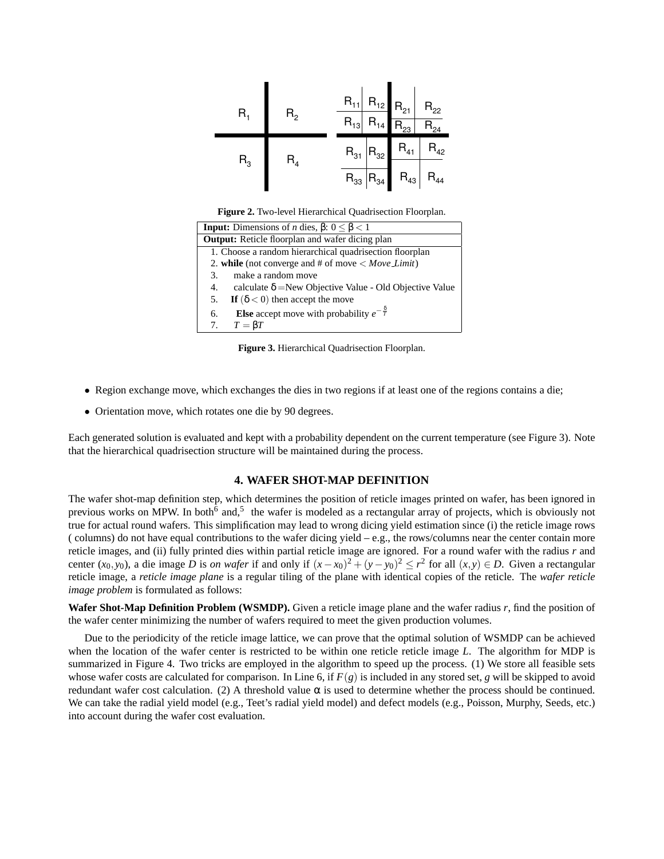

**Figure 2.** Two-level Hierarchical Quadrisection Floorplan.

| <b>Input:</b> Dimensions of <i>n</i> dies, $\beta$ : $0 \le \beta < 1$ |  |  |  |  |  |
|------------------------------------------------------------------------|--|--|--|--|--|
| <b>Output:</b> Reticle floorplan and wafer dicing plan                 |  |  |  |  |  |
| 1. Choose a random hierarchical quadrisection floorplan                |  |  |  |  |  |
| 2. while (not converge and # of move $\langle Move\_Limit \rangle$ )   |  |  |  |  |  |
| make a random move<br>3.                                               |  |  |  |  |  |
| calculate $\delta$ =New Objective Value - Old Objective Value<br>4.    |  |  |  |  |  |
| If $(\delta < 0)$ then accept the move<br>5.                           |  |  |  |  |  |
| <b>Else</b> accept move with probability $e^{-\frac{\delta}{T}}$<br>6. |  |  |  |  |  |
| 7. $T = \beta T$                                                       |  |  |  |  |  |

**Figure 3.** Hierarchical Quadrisection Floorplan.

- Region exchange move, which exchanges the dies in two regions if at least one of the regions contains a die;
- Orientation move, which rotates one die by 90 degrees.

Each generated solution is evaluated and kept with a probability dependent on the current temperature (see Figure 3). Note that the hierarchical quadrisection structure will be maintained during the process.

#### **4. WAFER SHOT-MAP DEFINITION**

The wafer shot-map definition step, which determines the position of reticle images printed on wafer, has been ignored in previous works on MPW. In both<sup>6</sup> and,<sup>5</sup> the wafer is modeled as a rectangular array of projects, which is obviously not true for actual round wafers. This simplification may lead to wrong dicing yield estimation since (i) the reticle image rows ( columns) do not have equal contributions to the wafer dicing yield – e.g., the rows/columns near the center contain more reticle images, and (ii) fully printed dies within partial reticle image are ignored. For a round wafer with the radius *r* and center  $(x_0, y_0)$ , a die image *D* is *on wafer* if and only if  $(x - x_0)^2 + (y - y_0)^2 \le r^2$  for all  $(x, y) \in D$ . Given a rectangular reticle image, a *reticle image plane* is a regular tiling of the plane with identical copies of the reticle. The *wafer reticle image problem* is formulated as follows:

**Wafer Shot-Map Definition Problem (WSMDP).** Given a reticle image plane and the wafer radius *r*, find the position of the wafer center minimizing the number of wafers required to meet the given production volumes.

Due to the periodicity of the reticle image lattice, we can prove that the optimal solution of WSMDP can be achieved when the location of the wafer center is restricted to be within one reticle reticle image L. The algorithm for MDP is summarized in Figure 4. Two tricks are employed in the algorithm to speed up the process. (1) We store all feasible sets whose wafer costs are calculated for comparison. In Line 6, if *F*(*g*) is included in any stored set, *g* will be skipped to avoid redundant wafer cost calculation. (2) A threshold value α is used to determine whether the process should be continued. We can take the radial yield model (e.g., Teet's radial yield model) and defect models (e.g., Poisson, Murphy, Seeds, etc.) into account during the wafer cost evaluation.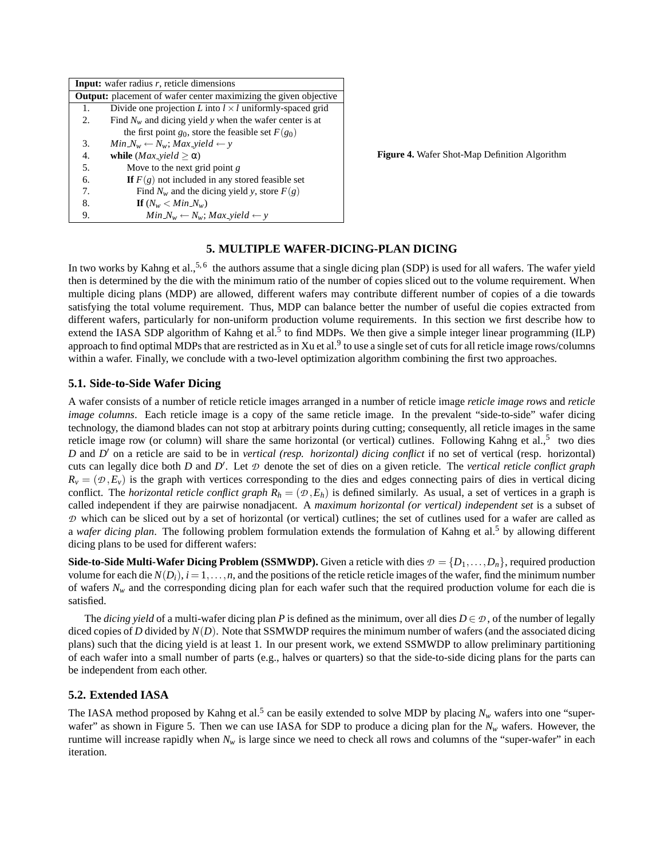|    | <b>Input:</b> wafer radius $r$ , reticle dimensions                     |  |  |  |  |  |  |  |
|----|-------------------------------------------------------------------------|--|--|--|--|--|--|--|
|    | <b>Output:</b> placement of wafer center maximizing the given objective |  |  |  |  |  |  |  |
| 1. | Divide one projection L into $l \times l$ uniformly-spaced grid         |  |  |  |  |  |  |  |
| 2. | Find $N_w$ and dicing yield y when the wafer center is at               |  |  |  |  |  |  |  |
|    | the first point $g_0$ , store the feasible set $F(g_0)$                 |  |  |  |  |  |  |  |
| 3. | $Min N_w \leftarrow N_w$ ; $Max$ -yield $\leftarrow$ y                  |  |  |  |  |  |  |  |
| 4. | while $(Max$ -yield $> \alpha$ )                                        |  |  |  |  |  |  |  |
| 5. | Move to the next grid point $g$                                         |  |  |  |  |  |  |  |
| 6. | If $F(g)$ not included in any stored feasible set                       |  |  |  |  |  |  |  |
| 7. | Find $N_w$ and the dicing yield y, store $F(g)$                         |  |  |  |  |  |  |  |
| 8. | If $(N_w < Min N_w)$                                                    |  |  |  |  |  |  |  |
| 9. | $Min N_w \leftarrow N_w$ ; $Max\_yield \leftarrow y$                    |  |  |  |  |  |  |  |

**Figure 4.** Wafer Shot-Map Definition Algorithm

# **5. MULTIPLE WAFER-DICING-PLAN DICING**

In two works by Kahng et al.,<sup>5,6</sup> the authors assume that a single dicing plan (SDP) is used for all wafers. The wafer yield then is determined by the die with the minimum ratio of the number of copies sliced out to the volume requirement. When multiple dicing plans (MDP) are allowed, different wafers may contribute different number of copies of a die towards satisfying the total volume requirement. Thus, MDP can balance better the number of useful die copies extracted from different wafers, particularly for non-uniform production volume requirements. In this section we first describe how to extend the IASA SDP algorithm of Kahng et al.<sup>5</sup> to find MDPs. We then give a simple integer linear programming (ILP) approach to find optimal MDPs that are restricted as in Xu et al.<sup>9</sup> to use a single set of cuts for all reticle image rows/columns within a wafer. Finally, we conclude with a two-level optimization algorithm combining the first two approaches.

## **5.1. Side-to-Side Wafer Dicing**

A wafer consists of a number of reticle reticle images arranged in a number of reticle image *reticle image rows* and *reticle image columns*. Each reticle image is a copy of the same reticle image. In the prevalent "side-to-side" wafer dicing technology, the diamond blades can not stop at arbitrary points during cutting; consequently, all reticle images in the same reticle image row (or column) will share the same horizontal (or vertical) cutlines. Following Kahng et al.,<sup>5</sup> two dies *D* and *D* ′ on a reticle are said to be in *vertical (resp. horizontal) dicing conflict* if no set of vertical (resp. horizontal) cuts can legally dice both *D* and *D* ′ . Let *D* denote the set of dies on a given reticle. The *vertical reticle conflict graph*  $R_v = (\mathcal{D}, E_v)$  is the graph with vertices corresponding to the dies and edges connecting pairs of dies in vertical dicing conflict. The *horizontal reticle conflict graph*  $R_h = (\mathcal{D}, E_h)$  is defined similarly. As usual, a set of vertices in a graph is called independent if they are pairwise nonadjacent. A *maximum horizontal (or vertical) independent set* is a subset of *D* which can be sliced out by a set of horizontal (or vertical) cutlines; the set of cutlines used for a wafer are called as a *wafer dicing plan*. The following problem formulation extends the formulation of Kahng et al.<sup>5</sup> by allowing different dicing plans to be used for different wafers:

**Side-to-Side Multi-Wafer Dicing Problem (SSMWDP).** Given a reticle with dies  $\mathcal{D} = \{D_1, \ldots, D_n\}$ , required production volume for each die  $N(D_i)$ ,  $i = 1, \ldots, n$ , and the positions of the reticle reticle images of the wafer, find the minimum number of wafers  $N_w$  and the corresponding dicing plan for each wafer such that the required production volume for each die is satisfied.

The *dicing yield* of a multi-wafer dicing plan *P* is defined as the minimum, over all dies  $D \in \mathcal{D}$ , of the number of legally diced copies of *D* divided by *N*(*D*). Note that SSMWDP requires the minimum number of wafers (and the associated dicing plans) such that the dicing yield is at least 1. In our present work, we extend SSMWDP to allow preliminary partitioning of each wafer into a small number of parts (e.g., halves or quarters) so that the side-to-side dicing plans for the parts can be independent from each other.

#### **5.2. Extended IASA**

The IASA method proposed by Kahng et al.<sup>5</sup> can be easily extended to solve MDP by placing  $N_w$  wafers into one "superwafer" as shown in Figure 5. Then we can use IASA for SDP to produce a dicing plan for the  $N_w$  wafers. However, the runtime will increase rapidly when  $N_w$  is large since we need to check all rows and columns of the "super-wafer" in each iteration.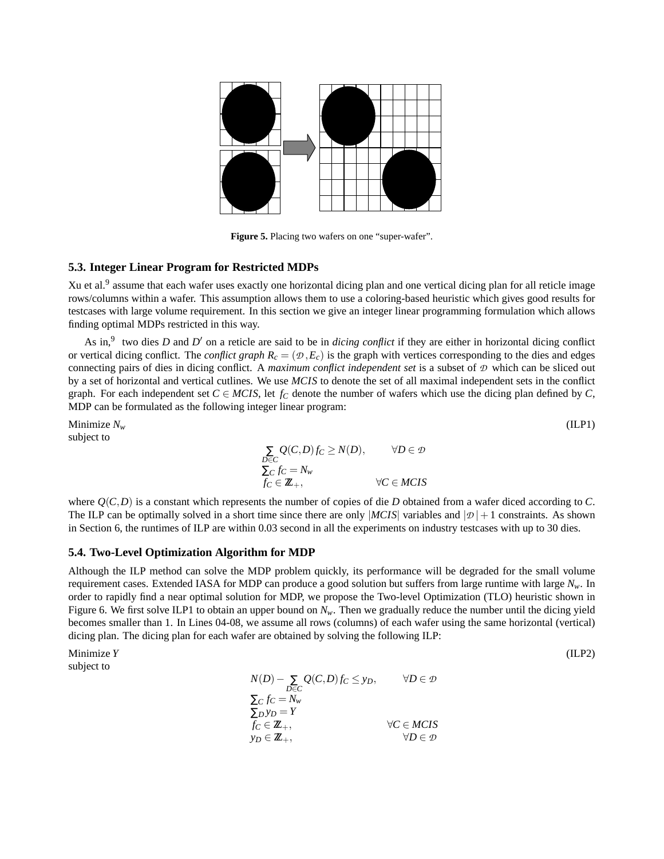

**Figure 5.** Placing two wafers on one "super-wafer".

#### **5.3. Integer Linear Program for Restricted MDPs**

Xu et al.<sup>9</sup> assume that each wafer uses exactly one horizontal dicing plan and one vertical dicing plan for all reticle image rows/columns within a wafer. This assumption allows them to use a coloring-based heuristic which gives good results for testcases with large volume requirement. In this section we give an integer linear programming formulation which allows finding optimal MDPs restricted in this way.

As in,<sup>9</sup> two dies *D* and *D'* on a reticle are said to be in *dicing conflict* if they are either in horizontal dicing conflict or vertical dicing conflict. The *conflict graph*  $R_c = (D, E_c)$  is the graph with vertices corresponding to the dies and edges connecting pairs of dies in dicing conflict. A *maximum conflict independent set* is a subset of *D* which can be sliced out by a set of horizontal and vertical cutlines. We use *MCIS* to denote the set of all maximal independent sets in the conflict graph. For each independent set  $C \in MCIS$ , let  $f_C$  denote the number of wafers which use the dicing plan defined by  $C$ , MDP can be formulated as the following integer linear program:

Minimize  $N_w$  (ILP1) subject to

 $\sum_{D \in C} Q(C, D) f_C \ge N(D), \quad \forall D \in \mathcal{D}$  $\sum_{C} f_C = N_w$  $f_C \in \mathbb{Z}_+,$   $\forall C \in MCIS$ 

where *Q*(*C*,*D*) is a constant which represents the number of copies of die *D* obtained from a wafer diced according to *C*. The ILP can be optimally solved in a short time since there are only  $|MCIS|$  variables and  $|D|+1$  constraints. As shown in Section 6, the runtimes of ILP are within 0.03 second in all the experiments on industry testcases with up to 30 dies.

#### **5.4. Two-Level Optimization Algorithm for MDP**

Although the ILP method can solve the MDP problem quickly, its performance will be degraded for the small volume requirement cases. Extended IASA for MDP can produce a good solution but suffers from large runtime with large *Nw*. In order to rapidly find a near optimal solution for MDP, we propose the Two-level Optimization (TLO) heuristic shown in Figure 6. We first solve ILP1 to obtain an upper bound on *Nw*. Then we gradually reduce the number until the dicing yield becomes smaller than 1. In Lines 04-08, we assume all rows (columns) of each wafer using the same horizontal (vertical) dicing plan. The dicing plan for each wafer are obtained by solving the following ILP:

Minimize *Y* (ILP2) subject to

$$
N(D) - \sum_{D \in C} Q(C, D) f_C \leq y_D, \qquad \forall D \in \mathcal{D}
$$
  
\n
$$
\sum_C f_C = N_w
$$
  
\n
$$
\sum_D y_D = Y
$$
  
\n
$$
f_C \in \mathbb{Z}_+, \qquad \forall C \in MCIS
$$
  
\n
$$
y_D \in \mathbb{Z}_+, \qquad \forall D \in \mathcal{D}
$$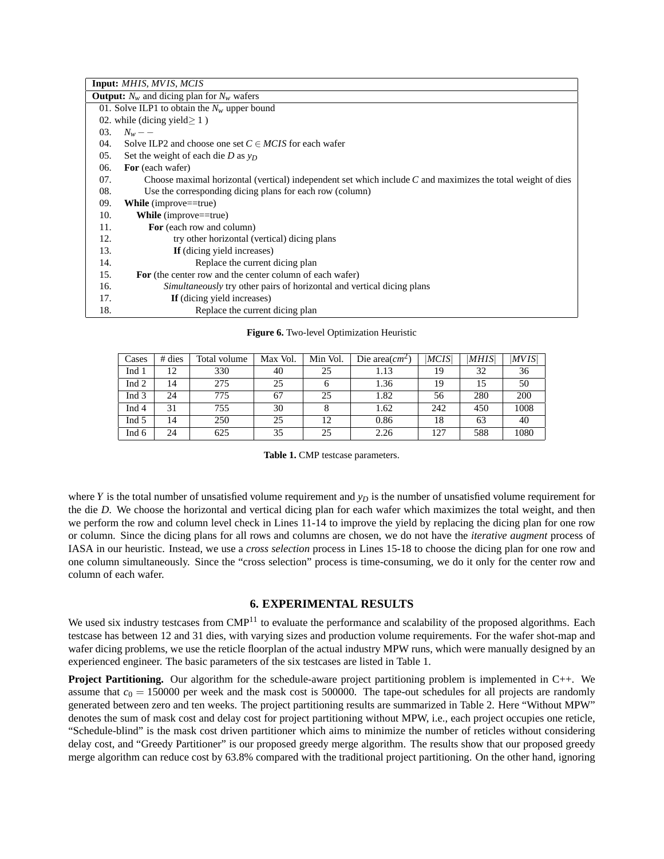| <b>Input:</b> MHIS, MVIS, MCIS                                                                                       |
|----------------------------------------------------------------------------------------------------------------------|
| <b>Output:</b> $N_w$ and dicing plan for $N_w$ wafers                                                                |
| 01. Solve ILP1 to obtain the $N_w$ upper bound                                                                       |
| 02. while (dicing yield $> 1$ )                                                                                      |
| 03.<br>$N_w$ -                                                                                                       |
| Solve ILP2 and choose one set $C \in MCIS$ for each wafer<br>04.                                                     |
| 05.<br>Set the weight of each die D as $y_D$                                                                         |
| 06.<br>For (each wafer)                                                                                              |
| 07.<br>Choose maximal horizontal (vertical) independent set which include $C$ and maximizes the total weight of dies |
| 08.<br>Use the corresponding dicing plans for each row (column)                                                      |
| 09.<br><b>While</b> (improve==true)                                                                                  |
| 10.<br><b>While</b> (improve==true)                                                                                  |
| 11.<br>For (each row and column)                                                                                     |
| 12.<br>try other horizontal (vertical) dicing plans                                                                  |
| 13.<br>If (dicing yield increases)                                                                                   |
| 14.<br>Replace the current dicing plan                                                                               |
| 15.<br>For (the center row and the center column of each wafer)                                                      |
| 16.<br><i>Simultaneously</i> try other pairs of horizontal and vertical dicing plans                                 |
| 17.<br>If (dicing yield increases)                                                                                   |
| 18.<br>Replace the current dicing plan                                                                               |

**Figure 6.** Two-level Optimization Heuristic

| Cases   | $#$ dies | Total volume | Max Vol. | Min Vol. | Die area $(cm^2)$ | MCIS | MHIS | MVIS |
|---------|----------|--------------|----------|----------|-------------------|------|------|------|
| Ind 1   | 12       | 330          | 40       | 25       | 1.13              | 19   | 32   | 36   |
| Ind $2$ | 14       | 275          | 25       | O        | 1.36              | 19   | 15   | 50   |
| Ind $3$ | 24       | 775          | 67       | 25       | 1.82              | 56   | 280  | 200  |
| Ind $4$ | 31       | 755          | 30       |          | 1.62              | 242  | 450  | 1008 |
| Ind 5   | 14       | 250          | 25       | 12       | 0.86              | 18   | 63   | 40   |
| Ind 6   | 24       | 625          | 35       | 25       | 2.26              | 127  | 588  | 1080 |

| Table 1. CMP testcase parameters. |  |  |
|-----------------------------------|--|--|
|-----------------------------------|--|--|

where *Y* is the total number of unsatisfied volume requirement and  $y<sub>D</sub>$  is the number of unsatisfied volume requirement for the die *D*. We choose the horizontal and vertical dicing plan for each wafer which maximizes the total weight, and then we perform the row and column level check in Lines 11-14 to improve the yield by replacing the dicing plan for one row or column. Since the dicing plans for all rows and columns are chosen, we do not have the *iterative augment* process of IASA in our heuristic. Instead, we use a *cross selection* process in Lines 15-18 to choose the dicing plan for one row and one column simultaneously. Since the "cross selection" process is time-consuming, we do it only for the center row and column of each wafer.

## **6. EXPERIMENTAL RESULTS**

We used six industry testcases from  $\text{CMP}^{11}$  to evaluate the performance and scalability of the proposed algorithms. Each testcase has between 12 and 31 dies, with varying sizes and production volume requirements. For the wafer shot-map and wafer dicing problems, we use the reticle floorplan of the actual industry MPW runs, which were manually designed by an experienced engineer. The basic parameters of the six testcases are listed in Table 1.

**Project Partitioning.** Our algorithm for the schedule-aware project partitioning problem is implemented in C++. We assume that  $c_0 = 150000$  per week and the mask cost is 500000. The tape-out schedules for all projects are randomly generated between zero and ten weeks. The project partitioning results are summarized in Table 2. Here "Without MPW" denotes the sum of mask cost and delay cost for project partitioning without MPW, i.e., each project occupies one reticle, "Schedule-blind" is the mask cost driven partitioner which aims to minimize the number of reticles without considering delay cost, and "Greedy Partitioner" is our proposed greedy merge algorithm. The results show that our proposed greedy merge algorithm can reduce cost by 63.8% compared with the traditional project partitioning. On the other hand, ignoring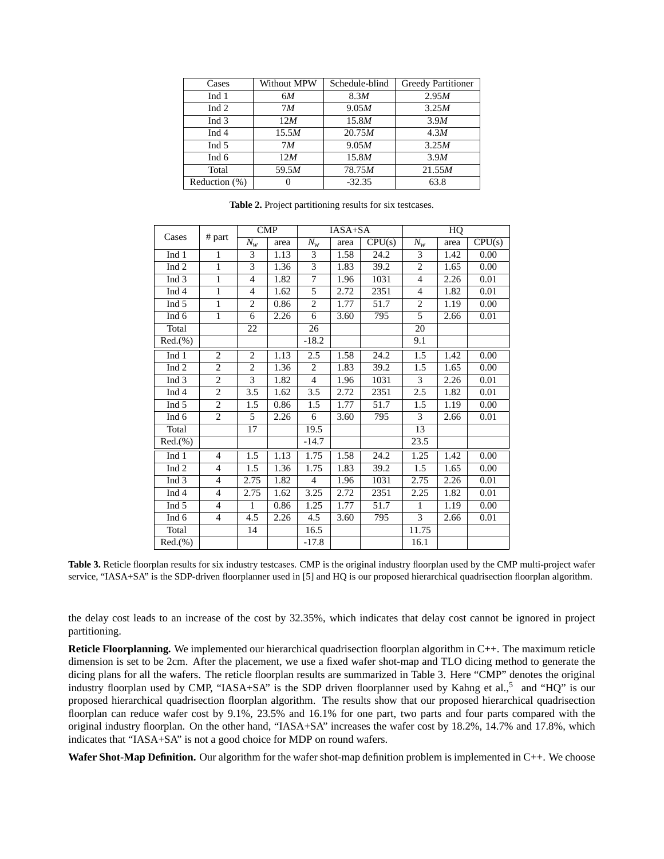| Cases            | Without MPW | Schedule-blind | <b>Greedy Partitioner</b> |
|------------------|-------------|----------------|---------------------------|
| Ind <sub>1</sub> | 6М          | 8.3M           | 2.95M                     |
| Ind $2$          | 7М          | 9.05M          | 3.25M                     |
| Ind $3$          | 12M         | 15.8M          | 3.9M                      |
| Ind 4            | 15.5M       | 20.75M         | 4.3M                      |
| Ind $5$          | 7M          | 9.05M          | 3.25M                     |
| Ind 6            | 12M         | 15.8M          | 3.9M                      |
| Total            | 59.5M       | 78.75M         | 21.55M                    |
| Reduction (%)    | 0           | $-32.35$       | 63.8                      |

**Table 2.** Project partitioning results for six testcases.

|                  |                | CMP            |                   |                  | IASA+SA |                   | HQ             |      |        |
|------------------|----------------|----------------|-------------------|------------------|---------|-------------------|----------------|------|--------|
| Cases            | # part         | $N_w$          | area              | $N_w$            | area    | CPU(s)            | $N_w$          | area | CPU(s) |
| Ind $1$          | 1              | 3              | 1.13              | $\overline{3}$   | 1.58    | 24.2              | 3              | 1.42 | 0.00   |
| Ind $2$          | $\mathbf{1}$   | 3              | 1.36              | 3                | 1.83    | 39.2              | $\mathbf{2}$   | 1.65 | 0.00   |
| Ind <sub>3</sub> | $\mathbf{1}$   | $\overline{4}$ | 1.82              | $\overline{7}$   | 1.96    | 1031              | $\overline{4}$ | 2.26 | 0.01   |
| Ind 4            | $\mathbf{1}$   | $\overline{4}$ | 1.62              | 5                | 2.72    | 2351              | $\overline{4}$ | 1.82 | 0.01   |
| Ind 5            | $\mathbf{1}$   | $\overline{c}$ | $\overline{0.86}$ | $\overline{2}$   | 1.77    | $\overline{51}.7$ | $\overline{2}$ | 1.19 | 0.00   |
| Ind 6            | $\mathbf{1}$   | 6              | 2.26              | 6                | 3.60    | 795               | $\overline{5}$ | 2.66 | 0.01   |
| Total            |                | 22             |                   | 26               |         |                   | 20             |      |        |
| Red.(%)          |                |                |                   | $-18.2$          |         |                   | 9.1            |      |        |
| Ind 1            | $\overline{2}$ | $\overline{2}$ | 1.13              | $2.\overline{5}$ | 1.58    | 24.2              | 1.5            | 1.42 | 0.00   |
| Ind <sub>2</sub> | $\overline{2}$ | $\mathbf{2}$   | 1.36              | $\overline{c}$   | 1.83    | 39.2              | 1.5            | 1.65 | 0.00   |
| Ind <sub>3</sub> | $\overline{2}$ | 3              | 1.82              | $\overline{4}$   | 1.96    | 1031              | 3              | 2.26 | 0.01   |
| Ind 4            | $\overline{2}$ | 3.5            | 1.62              | 3.5              | 2.72    | 2351              | 2.5            | 1.82 | 0.01   |
| Ind <sub>5</sub> | $\overline{2}$ | 1.5            | 0.86              | 1.5              | 1.77    | 51.7              | 1.5            | 1.19 | 0.00   |
| Ind 6            | $\overline{2}$ | 5              | 2.26              | 6                | 3.60    | 795               | 3              | 2.66 | 0.01   |
| Total            |                | 17             |                   | 19.5             |         |                   | 13             |      |        |
| Red.(%)          |                |                |                   | $-14.7$          |         |                   | 23.5           |      |        |
| Ind 1            | $\overline{4}$ | 1.5            | 1.13              | 1.75             | 1.58    | 24.2              | 1.25           | 1.42 | 0.00   |
| Ind $2$          | $\overline{4}$ | 1.5            | 1.36              | 1.75             | 1.83    | 39.2              | 1.5            | 1.65 | 0.00   |
| Ind <sub>3</sub> | $\overline{4}$ | 2.75           | 1.82              | 4                | 1.96    | 1031              | 2.75           | 2.26 | 0.01   |
| Ind <sub>4</sub> | $\overline{4}$ | 2.75           | 1.62              | 3.25             | 2.72    | 2351              | 2.25           | 1.82 | 0.01   |
| Ind 5            | $\overline{4}$ | $\mathbf{1}$   | 0.86              | 1.25             | 1.77    | 51.7              | $\mathbf{1}$   | 1.19 | 0.00   |
| Ind 6            | $\overline{4}$ | 4.5            | 2.26              | 4.5              | 3.60    | 795               | 3              | 2.66 | 0.01   |
| Total            |                | 14             |                   | 16.5             |         |                   | 11.75          |      |        |
| Red.(%)          |                |                |                   | $-17.8$          |         |                   | 16.1           |      |        |

**Table 3.** Reticle floorplan results for six industry testcases. CMP is the original industry floorplan used by the CMP multi-project wafer service, "IASA+SA" is the SDP-driven floorplanner used in [5] and HQ is our proposed hierarchical quadrisection floorplan algorithm.

the delay cost leads to an increase of the cost by 32.35%, which indicates that delay cost cannot be ignored in project partitioning.

**Reticle Floorplanning.** We implemented our hierarchical quadrisection floorplan algorithm in C++. The maximum reticle dimension is set to be 2cm. After the placement, we use a fixed wafer shot-map and TLO dicing method to generate the dicing plans for all the wafers. The reticle floorplan results are summarized in Table 3. Here "CMP" denotes the original industry floorplan used by CMP, "IASA+SA" is the SDP driven floorplanner used by Kahng et al.,<sup>5</sup> and "HQ" is our proposed hierarchical quadrisection floorplan algorithm. The results show that our proposed hierarchical quadrisection floorplan can reduce wafer cost by 9.1%, 23.5% and 16.1% for one part, two parts and four parts compared with the original industry floorplan. On the other hand, "IASA+SA" increases the wafer cost by 18.2%, 14.7% and 17.8%, which indicates that "IASA+SA" is not a good choice for MDP on round wafers.

**Wafer Shot-Map Definition.** Our algorithm for the wafer shot-map definition problem is implemented in C++. We choose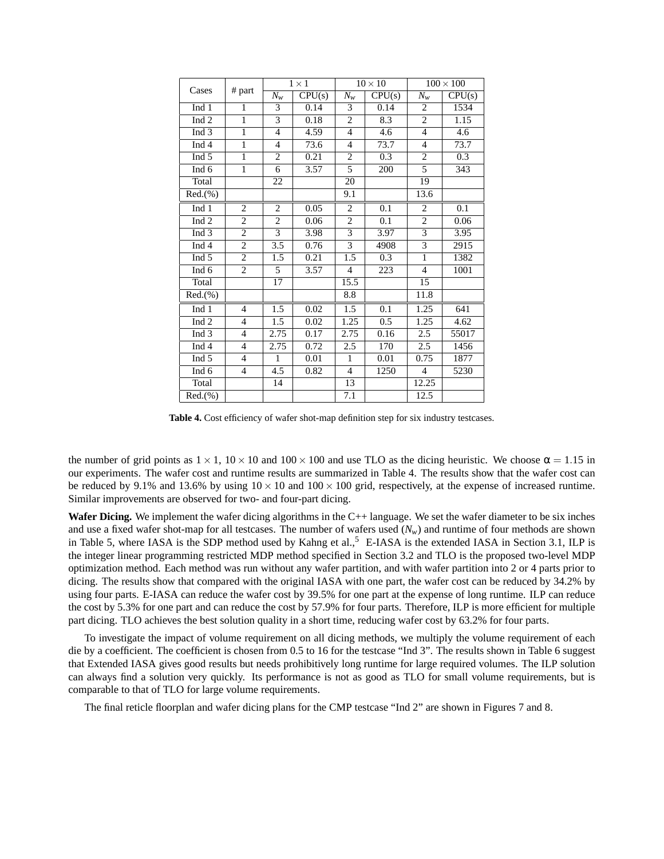|                  |                | $1 \times 1$     |                            |                | $10 \times 10$ | $100 \times 100$ |        |  |
|------------------|----------------|------------------|----------------------------|----------------|----------------|------------------|--------|--|
| Cases            | # part         | $N_w$            | $\overline{\text{CPU}(s)}$ | $N_w$          | CPU(s)         | $N_w$            | CPU(s) |  |
| Ind 1            | 1              | 3                | 0.14                       | 3              | 0.14           | $\overline{2}$   | 1534   |  |
| Ind <sub>2</sub> | $\overline{1}$ | $\overline{3}$   | 0.18                       | $\overline{2}$ | 8.3            | $\overline{2}$   | 1.15   |  |
| Ind <sub>3</sub> | $\mathbf{1}$   | $\overline{4}$   | 4.59                       | $\overline{4}$ | 4.6            | $\overline{4}$   | 4.6    |  |
| Ind 4            | $\mathbf{1}$   | $\overline{4}$   | 73.6                       | $\overline{4}$ | 73.7           | $\overline{4}$   | 73.7   |  |
| Ind <sub>5</sub> | $\overline{1}$ | $\overline{2}$   | 0.21                       | $\overline{2}$ | 0.3            | $\overline{c}$   | 0.3    |  |
| Ind 6            | $\mathbf{1}$   | 6                | 3.57                       | 5              | 200            | 5                | 343    |  |
| Total            |                | 22               |                            | 20             |                | 19               |        |  |
| Red.(%)          |                |                  |                            | 9.1            |                | 13.6             |        |  |
| Ind 1            | $\overline{c}$ | $\overline{c}$   | 0.05                       | $\overline{2}$ | 0.1            | $\overline{2}$   | 0.1    |  |
| Ind <sub>2</sub> | $\overline{c}$ | $\overline{c}$   | 0.06                       | $\overline{c}$ | 0.1            | $\overline{c}$   | 0.06   |  |
| Ind <sub>3</sub> | $\overline{2}$ | $\overline{3}$   | 3.98                       | $\overline{3}$ | 3.97           | $\overline{3}$   | 3.95   |  |
| Ind <sub>4</sub> | $\overline{2}$ | 3.5              | 0.76                       | $\overline{3}$ | 4908           | $\overline{3}$   | 2915   |  |
| Ind 5            | $\overline{2}$ | 1.5              | 0.21                       | 1.5            | 0.3            | $\mathbf{1}$     | 1382   |  |
| Ind 6            | $\overline{2}$ | 5                | 3.57                       | $\overline{4}$ | 223            | $\overline{4}$   | 1001   |  |
| Total            |                | 17               |                            | 15.5           |                | 15               |        |  |
| Red.(%)          |                |                  |                            | 8.8            |                | 11.8             |        |  |
| Ind 1            | $\overline{4}$ | $\overline{1.5}$ | 0.02                       | 1.5            | 0.1            | 1.25             | 641    |  |
| Ind <sub>2</sub> | $\overline{4}$ | 1.5              | 0.02                       | 1.25           | 0.5            | 1.25             | 4.62   |  |
| Ind <sub>3</sub> | $\overline{4}$ | 2.75             | 0.17                       | 2.75           | 0.16           | 2.5              | 55017  |  |
| Ind 4            | $\overline{4}$ | 2.75             | 0.72                       | 2.5            | 170            | 2.5              | 1456   |  |
| Ind 5            | $\overline{4}$ | $\mathbf{1}$     | 0.01                       | $\mathbf{1}$   | 0.01           | 0.75             | 1877   |  |
| Ind 6            | $\overline{4}$ | 4.5              | 0.82                       | $\overline{4}$ | 1250           | $\overline{4}$   | 5230   |  |
| Total            |                | 14               |                            | 13             |                | 12.25            |        |  |
| Red.(%)          |                |                  |                            | 7.1            |                | 12.5             |        |  |

**Table 4.** Cost efficiency of wafer shot-map definition step for six industry testcases.

the number of grid points as  $1 \times 1$ ,  $10 \times 10$  and  $100 \times 100$  and use TLO as the dicing heuristic. We choose  $\alpha = 1.15$  in our experiments. The wafer cost and runtime results are summarized in Table 4. The results show that the wafer cost can be reduced by 9.1% and 13.6% by using  $10 \times 10$  and  $100 \times 100$  grid, respectively, at the expense of increased runtime. Similar improvements are observed for two- and four-part dicing.

**Wafer Dicing.** We implement the wafer dicing algorithms in the C++ language. We set the wafer diameter to be six inches and use a fixed wafer shot-map for all testcases. The number of wafers used (*Nw*) and runtime of four methods are shown in Table 5, where IASA is the SDP method used by Kahng et al.,  $5$  E-IASA is the extended IASA in Section 3.1, ILP is the integer linear programming restricted MDP method specified in Section 3.2 and TLO is the proposed two-level MDP optimization method. Each method was run without any wafer partition, and with wafer partition into 2 or 4 parts prior to dicing. The results show that compared with the original IASA with one part, the wafer cost can be reduced by 34.2% by using four parts. E-IASA can reduce the wafer cost by 39.5% for one part at the expense of long runtime. ILP can reduce the cost by 5.3% for one part and can reduce the cost by 57.9% for four parts. Therefore, ILP is more efficient for multiple part dicing. TLO achieves the best solution quality in a short time, reducing wafer cost by 63.2% for four parts.

To investigate the impact of volume requirement on all dicing methods, we multiply the volume requirement of each die by a coefficient. The coefficient is chosen from 0.5 to 16 for the testcase "Ind 3". The results shown in Table 6 suggest that Extended IASA gives good results but needs prohibitively long runtime for large required volumes. The ILP solution can always find a solution very quickly. Its performance is not as good as TLO for small volume requirements, but is comparable to that of TLO for large volume requirements.

The final reticle floorplan and wafer dicing plans for the CMP testcase "Ind 2" are shown in Figures 7 and 8.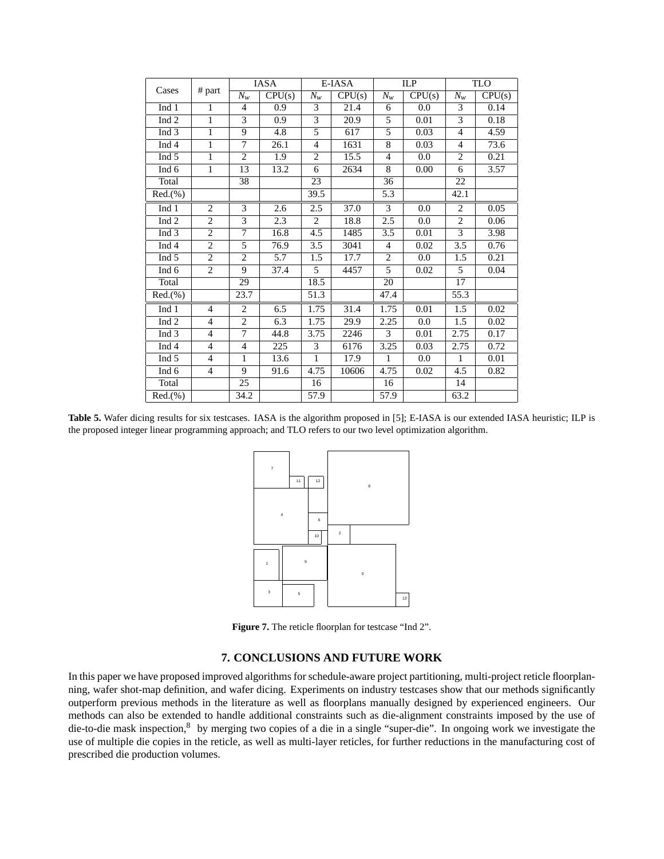|                  |                | IASA           |                            | E-IASA         |        | <b>ILP</b>     |                            | <b>TLO</b>     |                            |
|------------------|----------------|----------------|----------------------------|----------------|--------|----------------|----------------------------|----------------|----------------------------|
| Cases            | # part         | $N_w$          | $\overline{\text{CPU}(s)}$ | $N_w$          | CPU(s) | $N_w$          | $\overline{\text{CPU}(s)}$ | $N_w$          | $\overline{\text{CPU}(s)}$ |
| Ind 1            | 1              | $\overline{4}$ | 0.9                        | 3              | 21.4   | 6              | 0.0                        | 3              | 0.14                       |
| Ind <sub>2</sub> | $\mathbf{1}$   | 3              | 0.9                        | 3              | 20.9   | 5              | 0.01                       | $\overline{3}$ | 0.18                       |
| Ind <sub>3</sub> | 1              | 9              | 4.8                        | $\overline{5}$ | 617    | 5              | 0.03                       | $\overline{4}$ | 4.59                       |
| Ind <sub>4</sub> | 1              | 7              | 26.1                       | $\overline{4}$ | 1631   | 8              | 0.03                       | $\overline{4}$ | 73.6                       |
| Ind <sub>5</sub> | $\mathbf{1}$   | $\overline{c}$ | 1.9                        | $\overline{2}$ | 15.5   | $\overline{4}$ | 0.0                        | $\overline{2}$ | 0.21                       |
| Ind 6            | $\mathbf{1}$   | 13             | 13.2                       | 6              | 2634   | 8              | 0.00                       | 6              | 3.57                       |
| Total            |                | 38             |                            | 23             |        | 36             |                            | 22             |                            |
| Red.(%)          |                |                |                            | 39.5           |        | 5.3            |                            | 42.1           |                            |
| Ind 1            | $\overline{2}$ | 3              | 2.6                        | 2.5            | 37.0   | 3              | 0.0                        | $\overline{c}$ | 0.05                       |
| Ind <sub>2</sub> | $\overline{2}$ | $\overline{3}$ | 2.3                        | $\overline{c}$ | 18.8   | 2.5            | 0.0                        | $\overline{2}$ | 0.06                       |
| Ind <sub>3</sub> | $\overline{2}$ | $\overline{7}$ | 16.8                       | 4.5            | 1485   | 3.5            | 0.01                       | $\overline{3}$ | 3.98                       |
| Ind 4            | $\overline{2}$ | 5              | 76.9                       | 3.5            | 3041   | $\overline{4}$ | 0.02                       | 3.5            | 0.76                       |
| Ind <sub>5</sub> | $\overline{2}$ | $\overline{2}$ | 5.7                        | 1.5            | 17.7   | $\overline{2}$ | 0.0                        | 1.5            | 0.21                       |
| Ind 6            | $\overline{2}$ | 9              | 37.4                       | 5              | 4457   | 5              | 0.02                       | 5              | 0.04                       |
| Total            |                | 29             |                            | 18.5           |        | 20             |                            | 17             |                            |
| Red.(%)          |                | 23.7           |                            | 51.3           |        | 47.4           |                            | 55.3           |                            |
| Ind 1            | $\overline{4}$ | $\overline{c}$ | 6.5                        | 1.75           | 31.4   | 1.75           | 0.01                       | 1.5            | 0.02                       |
| Ind <sub>2</sub> | $\overline{4}$ | $\overline{c}$ | 6.3                        | 1.75           | 29.9   | 2.25           | 0.0                        | 1.5            | 0.02                       |
| Ind <sub>3</sub> | $\overline{4}$ | $\overline{7}$ | 44.8                       | 3.75           | 2246   | $\overline{3}$ | 0.01                       | 2.75           | 0.17                       |
| Ind $4$          | $\overline{4}$ | $\overline{4}$ | $\overline{225}$           | 3              | 6176   | 3.25           | 0.03                       | 2.75           | 0.72                       |
| Ind 5            | 4              | 1              | 13.6                       | $\mathbf{1}$   | 17.9   | 1              | 0.0                        | 1              | 0.01                       |
| Ind 6            | $\overline{4}$ | 9              | 91.6                       | 4.75           | 10606  | 4.75           | 0.02                       | 4.5            | 0.82                       |
| Total            |                | 25             |                            | 16             |        | 16             |                            | 14             |                            |
| Red.(%)          |                | 34.2           |                            | 57.9           |        | 57.9           |                            | 63.2           |                            |

**Table 5.** Wafer dicing results for six testcases. IASA is the algorithm proposed in [5]; E-IASA is our extended IASA heuristic; ILP is the proposed integer linear programming approach; and TLO refers to our two level optimization algorithm.



**Figure 7.** The reticle floorplan for testcase "Ind 2".

# **7. CONCLUSIONS AND FUTURE WORK**

In this paper we have proposed improved algorithms for schedule-aware project partitioning, multi-project reticle floorplanning, wafer shot-map definition, and wafer dicing. Experiments on industry testcases show that our methods significantly outperform previous methods in the literature as well as floorplans manually designed by experienced engineers. Our methods can also be extended to handle additional constraints such as die-alignment constraints imposed by the use of die-to-die mask inspection,<sup>8</sup> by merging two copies of a die in a single "super-die". In ongoing work we investigate the use of multiple die copies in the reticle, as well as multi-layer reticles, for further reductions in the manufacturing cost of prescribed die production volumes.